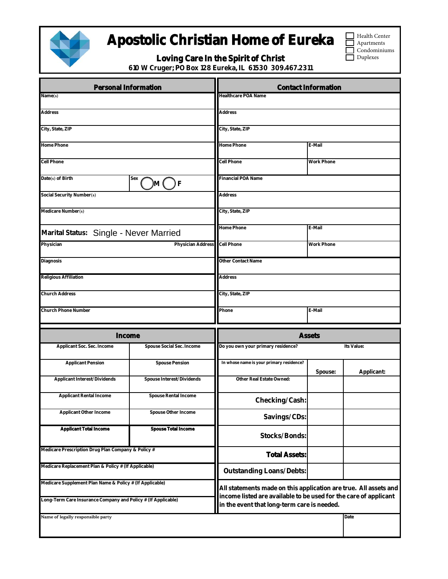

## Apostolic Christian Home of Eureka

|  |  | Loving Care In the Spirit of Christ |  |
|--|--|-------------------------------------|--|
|  |  |                                     |  |

Health Center **Apartments** Condominiums

Duplexes

٦

610 W Cruger; PO Box 128 Eureka, IL 61530 309.467.2311

| Personal Information                                          |                           | <b>Contact Information</b>                                                                                      |            |            |  |  |
|---------------------------------------------------------------|---------------------------|-----------------------------------------------------------------------------------------------------------------|------------|------------|--|--|
| Name(s)                                                       |                           | Healthcare POA Name                                                                                             |            |            |  |  |
| Address                                                       |                           | Address                                                                                                         |            |            |  |  |
| City, State, ZIP                                              |                           | City, State, ZIP                                                                                                |            |            |  |  |
| Home Phone                                                    |                           | Home Phone<br>E-Mail                                                                                            |            |            |  |  |
| Cell Phone                                                    |                           | Cell Phone                                                                                                      | Work Phone |            |  |  |
| Date(s) of Birth                                              | Sex<br>F<br>)M (    )     | Financial POA Name                                                                                              |            |            |  |  |
| Social Security Number(s)                                     |                           | Address                                                                                                         |            |            |  |  |
| Medicare Number(s)                                            |                           | City, State, ZIP                                                                                                |            |            |  |  |
|                                                               |                           | Home Phone<br>E-Mail                                                                                            |            |            |  |  |
| Marital Status: Single - Never Married<br>Physician           | Physician Address         | Cell Phone                                                                                                      | Work Phone |            |  |  |
|                                                               |                           |                                                                                                                 |            |            |  |  |
| Diagnosis                                                     |                           | Other Contact Name                                                                                              |            |            |  |  |
| Religious Affiliation                                         |                           | Address                                                                                                         |            |            |  |  |
| Church Address                                                |                           | City, State, ZIP                                                                                                |            |            |  |  |
| Church Phone Number                                           |                           | Phone                                                                                                           | E-Mail     |            |  |  |
| Income                                                        |                           | Assets                                                                                                          |            |            |  |  |
| Applicant Soc. Sec. Income                                    | Spouse Social Sec. Income | Do you own your primary residence?<br>Its Value:                                                                |            |            |  |  |
| <b>Applicant Pension</b>                                      | Spouse Pension            | In whose name is your primary residence?                                                                        | Spouse:    | Applicant: |  |  |
| Applicant Interest/Dividends                                  | Spouse Interest/Dividends | Other Real Estate Owned:                                                                                        |            |            |  |  |
| Applicant Rental Income                                       | Spouse Rental Income      | Checking/Cash:                                                                                                  |            |            |  |  |
| Applicant Other Income                                        | Spouse Other Income       | Savings/CDs:                                                                                                    |            |            |  |  |
| Applicant Total Income                                        | Spouse Total Income       | Stocks/Bonds:                                                                                                   |            |            |  |  |
| Medicare Prescription Drug Plan Company & Policy #            |                           | <b>Total Assets:</b>                                                                                            |            |            |  |  |
| Medicare Replacement Plan & Policy # (If Applicable)          |                           | Outstanding Loans/Debts:                                                                                        |            |            |  |  |
| Medicare Supplement Plan Name & Policy # (If Applicable)      |                           | All statements made on this application are true. All assets and                                                |            |            |  |  |
| Long-Term Care Insurance Company and Policy # (If Applicable) |                           | income listed are available to be used for the care of applicant<br>in the event that long-term care is needed. |            |            |  |  |
| Name of legally responsible party                             |                           |                                                                                                                 |            | Date       |  |  |